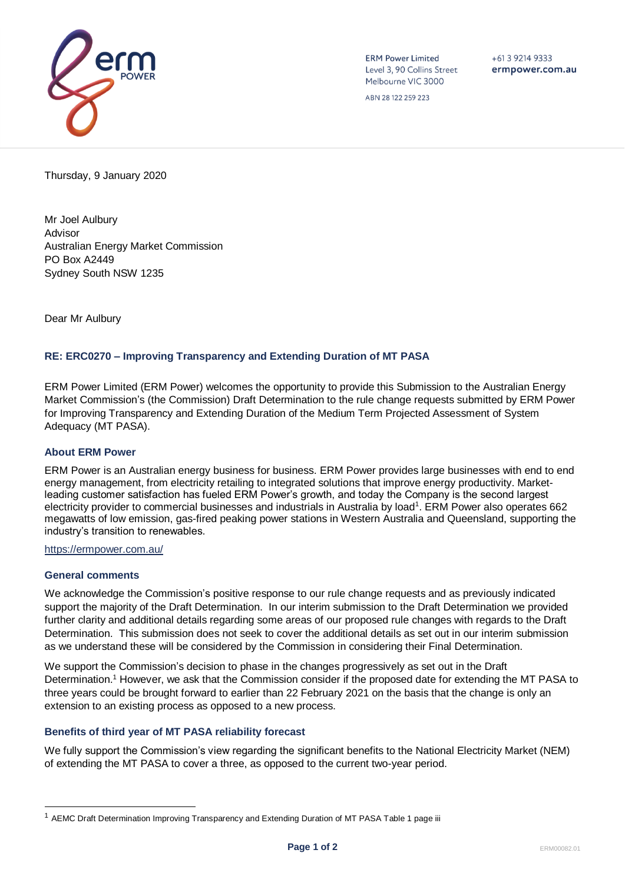

**ERM Power Limited** Level 3, 90 Collins Street Melbourne VIC 3000

 $+61$  3 9214 9333 ermpower.com.au

ABN 28 122 259 223

Thursday, 9 January 2020

Mr Joel Aulbury Advisor Australian Energy Market Commission PO Box A2449 Sydney South NSW 1235

Dear Mr Aulbury

## **RE: ERC0270 – Improving Transparency and Extending Duration of MT PASA**

ERM Power Limited (ERM Power) welcomes the opportunity to provide this Submission to the Australian Energy Market Commission's (the Commission) Draft Determination to the rule change requests submitted by ERM Power for Improving Transparency and Extending Duration of the Medium Term Projected Assessment of System Adequacy (MT PASA).

## **About ERM Power**

ERM Power is an Australian energy business for business. ERM Power provides large businesses with end to end energy management, from electricity retailing to integrated solutions that improve energy productivity. Marketleading customer satisfaction has fueled ERM Power's growth, and today the Company is the second largest electricity provider to commercial businesses and industrials in Australia by load<sup>1</sup>. ERM Power also operates 662 megawatts of low emission, gas-fired peaking power stations in Western Australia and Queensland, supporting the industry's transition to renewables.

<https://ermpower.com.au/>

## **General comments**

We acknowledge the Commission's positive response to our rule change requests and as previously indicated support the majority of the Draft Determination. In our interim submission to the Draft Determination we provided further clarity and additional details regarding some areas of our proposed rule changes with regards to the Draft Determination. This submission does not seek to cover the additional details as set out in our interim submission as we understand these will be considered by the Commission in considering their Final Determination.

We support the Commission's decision to phase in the changes progressively as set out in the Draft Determination.<sup>1</sup> However, we ask that the Commission consider if the proposed date for extending the MT PASA to three years could be brought forward to earlier than 22 February 2021 on the basis that the change is only an extension to an existing process as opposed to a new process.

## **Benefits of third year of MT PASA reliability forecast**

We fully support the Commission's view regarding the significant benefits to the National Electricity Market (NEM) of extending the MT PASA to cover a three, as opposed to the current two-year period.

<sup>&</sup>lt;sup>1</sup> AEMC Draft Determination Improving Transparency and Extending Duration of MT PASA Table 1 page iii